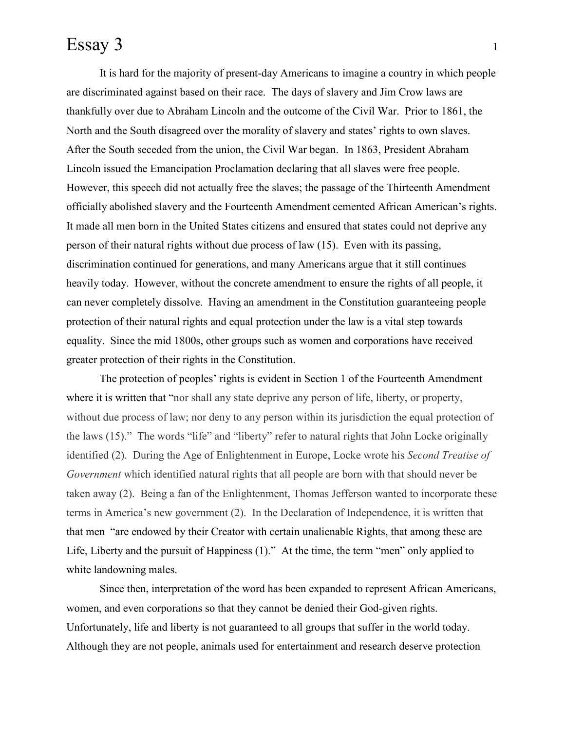## Essay 3 1

It is hard for the majority of present-day Americans to imagine a country in which people are discriminated against based on their race. The days of slavery and Jim Crow laws are thankfully over due to Abraham Lincoln and the outcome of the Civil War. Prior to 1861, the North and the South disagreed over the morality of slavery and states' rights to own slaves. After the South seceded from the union, the Civil War began. In 1863, President Abraham Lincoln issued the Emancipation Proclamation declaring that all slaves were free people. However, this speech did not actually free the slaves; the passage of the Thirteenth Amendment officially abolished slavery and the Fourteenth Amendment cemented African American's rights. It made all men born in the United States citizens and ensured that states could not deprive any person of their natural rights without due process of law (15). Even with its passing, discrimination continued for generations, and many Americans argue that it still continues heavily today. However, without the concrete amendment to ensure the rights of all people, it can never completely dissolve. Having an amendment in the Constitution guaranteeing people protection of their natural rights and equal protection under the law is a vital step towards equality. Since the mid 1800s, other groups such as women and corporations have received greater protection of their rights in the Constitution.

The protection of peoples' rights is evident in Section 1 of the Fourteenth Amendment where it is written that "nor shall any state deprive any person of life, liberty, or property, without due process of law; nor deny to any person within its jurisdiction the equal protection of the laws (15)." The words "life" and "liberty" refer to natural rights that John Locke originally identified (2). During the Age of Enlightenment in Europe, Locke wrote his *Second Treatise of Government* which identified natural rights that all people are born with that should never be taken away (2). Being a fan of the Enlightenment, Thomas Jefferson wanted to incorporate these terms in America's new government (2). In the Declaration of Independence, it is written that that men "are endowed by their Creator with certain unalienable Rights, that among these are Life, Liberty and the pursuit of Happiness (1)." At the time, the term "men" only applied to white landowning males.

Since then, interpretation of the word has been expanded to represent African Americans, women, and even corporations so that they cannot be denied their God-given rights. Unfortunately, life and liberty is not guaranteed to all groups that suffer in the world today. Although they are not people, animals used for entertainment and research deserve protection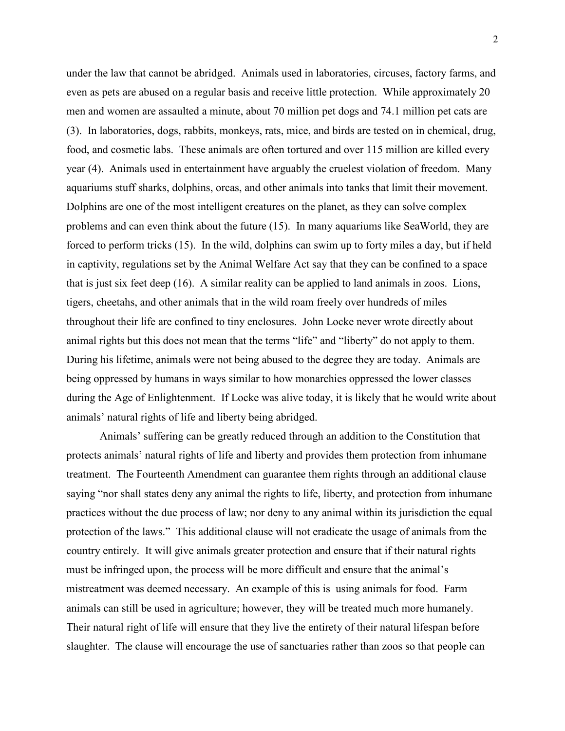under the law that cannot be abridged. Animals used in laboratories, circuses, factory farms, and even as pets are abused on a regular basis and receive little protection. While approximately 20 men and women are assaulted a minute, about 70 million pet dogs and 74.1 million pet cats are (3). In laboratories, dogs, rabbits, monkeys, rats, mice, and birds are tested on in chemical, drug, food, and cosmetic labs. These animals are often tortured and over 115 million are killed every year (4). Animals used in entertainment have arguably the cruelest violation of freedom. Many aquariums stuff sharks, dolphins, orcas, and other animals into tanks that limit their movement. Dolphins are one of the most intelligent creatures on the planet, as they can solve complex problems and can even think about the future (15). In many aquariums like SeaWorld, they are forced to perform tricks (15). In the wild, dolphins can swim up to forty miles a day, but if held in captivity, regulations set by the Animal Welfare Act say that they can be confined to a space that is just six feet deep (16). A similar reality can be applied to land animals in zoos. Lions, tigers, cheetahs, and other animals that in the wild roam freely over hundreds of miles throughout their life are confined to tiny enclosures. John Locke never wrote directly about animal rights but this does not mean that the terms "life" and "liberty" do not apply to them. During his lifetime, animals were not being abused to the degree they are today. Animals are being oppressed by humans in ways similar to how monarchies oppressed the lower classes during the Age of Enlightenment. If Locke was alive today, it is likely that he would write about animals' natural rights of life and liberty being abridged.

Animals' suffering can be greatly reduced through an addition to the Constitution that protects animals' natural rights of life and liberty and provides them protection from inhumane treatment. The Fourteenth Amendment can guarantee them rights through an additional clause saying "nor shall states deny any animal the rights to life, liberty, and protection from inhumane practices without the due process of law; nor deny to any animal within its jurisdiction the equal protection of the laws." This additional clause will not eradicate the usage of animals from the country entirely. It will give animals greater protection and ensure that if their natural rights must be infringed upon, the process will be more difficult and ensure that the animal's mistreatment was deemed necessary. An example of this is using animals for food. Farm animals can still be used in agriculture; however, they will be treated much more humanely. Their natural right of life will ensure that they live the entirety of their natural lifespan before slaughter. The clause will encourage the use of sanctuaries rather than zoos so that people can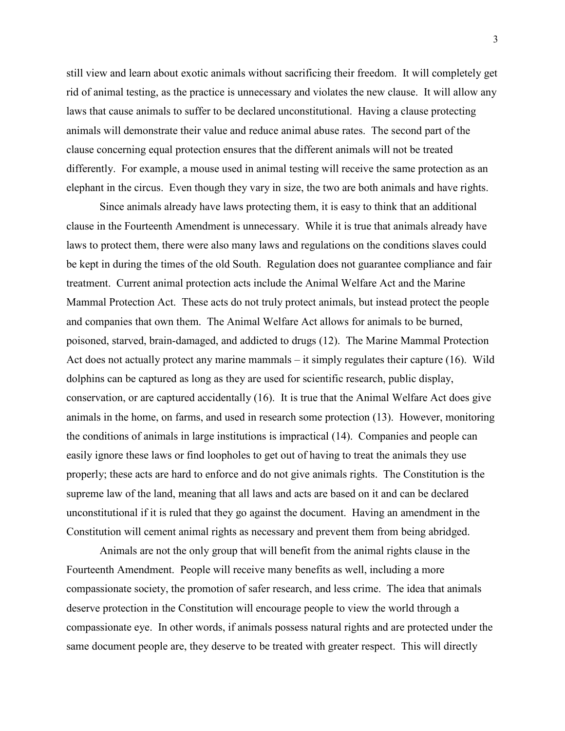still view and learn about exotic animals without sacrificing their freedom. It will completely get rid of animal testing, as the practice is unnecessary and violates the new clause. It will allow any laws that cause animals to suffer to be declared unconstitutional. Having a clause protecting animals will demonstrate their value and reduce animal abuse rates. The second part of the clause concerning equal protection ensures that the different animals will not be treated differently. For example, a mouse used in animal testing will receive the same protection as an elephant in the circus. Even though they vary in size, the two are both animals and have rights.

Since animals already have laws protecting them, it is easy to think that an additional clause in the Fourteenth Amendment is unnecessary. While it is true that animals already have laws to protect them, there were also many laws and regulations on the conditions slaves could be kept in during the times of the old South. Regulation does not guarantee compliance and fair treatment. Current animal protection acts include the Animal Welfare Act and the Marine Mammal Protection Act. These acts do not truly protect animals, but instead protect the people and companies that own them. The Animal Welfare Act allows for animals to be burned, poisoned, starved, brain-damaged, and addicted to drugs (12). The Marine Mammal Protection Act does not actually protect any marine mammals – it simply regulates their capture (16). Wild dolphins can be captured as long as they are used for scientific research, public display, conservation, or are captured accidentally (16). It is true that the Animal Welfare Act does give animals in the home, on farms, and used in research some protection (13). However, monitoring the conditions of animals in large institutions is impractical (14). Companies and people can easily ignore these laws or find loopholes to get out of having to treat the animals they use properly; these acts are hard to enforce and do not give animals rights. The Constitution is the supreme law of the land, meaning that all laws and acts are based on it and can be declared unconstitutional if it is ruled that they go against the document. Having an amendment in the Constitution will cement animal rights as necessary and prevent them from being abridged.

Animals are not the only group that will benefit from the animal rights clause in the Fourteenth Amendment. People will receive many benefits as well, including a more compassionate society, the promotion of safer research, and less crime. The idea that animals deserve protection in the Constitution will encourage people to view the world through a compassionate eye. In other words, if animals possess natural rights and are protected under the same document people are, they deserve to be treated with greater respect. This will directly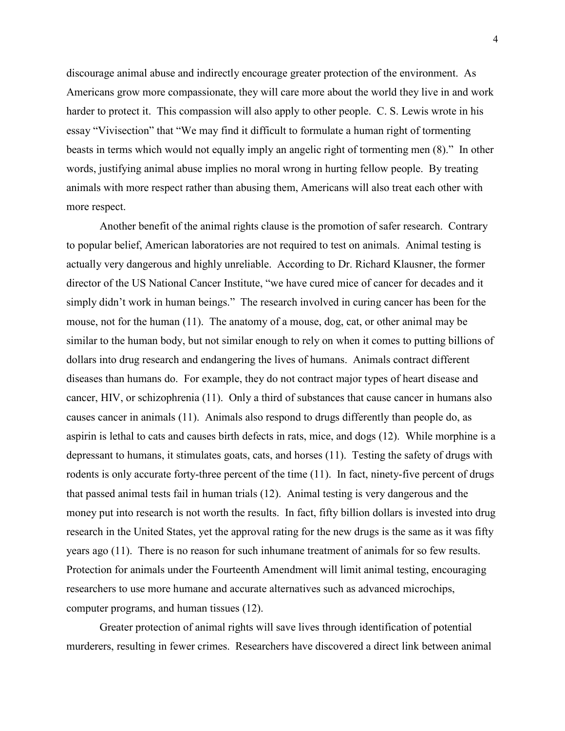discourage animal abuse and indirectly encourage greater protection of the environment. As Americans grow more compassionate, they will care more about the world they live in and work harder to protect it. This compassion will also apply to other people. C. S. Lewis wrote in his essay "Vivisection" that "We may find it difficult to formulate a human right of tormenting beasts in terms which would not equally imply an angelic right of tormenting men (8)." In other words, justifying animal abuse implies no moral wrong in hurting fellow people. By treating animals with more respect rather than abusing them, Americans will also treat each other with more respect.

Another benefit of the animal rights clause is the promotion of safer research. Contrary to popular belief, American laboratories are not required to test on animals. Animal testing is actually very dangerous and highly unreliable. According to Dr. Richard Klausner, the former director of the US National Cancer Institute, "we have cured mice of cancer for decades and it simply didn't work in human beings." The research involved in curing cancer has been for the mouse, not for the human (11). The anatomy of a mouse, dog, cat, or other animal may be similar to the human body, but not similar enough to rely on when it comes to putting billions of dollars into drug research and endangering the lives of humans. Animals contract different diseases than humans do. For example, they do not contract major types of heart disease and cancer, HIV, or schizophrenia (11). Only a third of substances that cause cancer in humans also causes cancer in animals (11). Animals also respond to drugs differently than people do, as aspirin is lethal to cats and causes birth defects in rats, mice, and dogs (12). While morphine is a depressant to humans, it stimulates goats, cats, and horses (11). Testing the safety of drugs with rodents is only accurate forty-three percent of the time (11). In fact, ninety-five percent of drugs that passed animal tests fail in human trials (12). Animal testing is very dangerous and the money put into research is not worth the results. In fact, fifty billion dollars is invested into drug research in the United States, yet the approval rating for the new drugs is the same as it was fifty years ago (11). There is no reason for such inhumane treatment of animals for so few results. Protection for animals under the Fourteenth Amendment will limit animal testing, encouraging researchers to use more humane and accurate alternatives such as advanced microchips, computer programs, and human tissues (12).

Greater protection of animal rights will save lives through identification of potential murderers, resulting in fewer crimes. Researchers have discovered a direct link between animal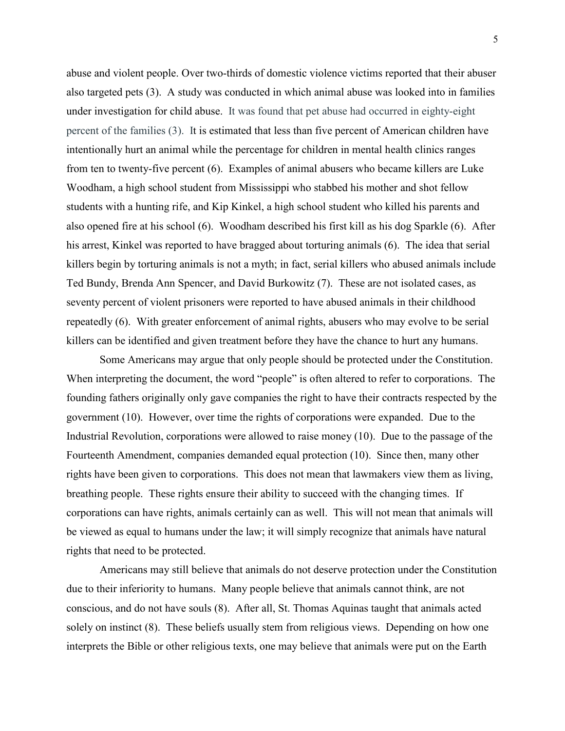abuse and violent people. Over two-thirds of domestic violence victims reported that their abuser also targeted pets (3). A study was conducted in which animal abuse was looked into in families under investigation for child abuse. It was found that pet abuse had occurred in eighty-eight percent of the families (3). It is estimated that less than five percent of American children have intentionally hurt an animal while the percentage for children in mental health clinics ranges from ten to twenty-five percent (6). Examples of animal abusers who became killers are Luke Woodham, a high school student from Mississippi who stabbed his mother and shot fellow students with a hunting rife, and Kip Kinkel, a high school student who killed his parents and also opened fire at his school (6). Woodham described his first kill as his dog Sparkle (6). After his arrest, Kinkel was reported to have bragged about torturing animals (6). The idea that serial killers begin by torturing animals is not a myth; in fact, serial killers who abused animals include Ted Bundy, Brenda Ann Spencer, and David Burkowitz (7). These are not isolated cases, as seventy percent of violent prisoners were reported to have abused animals in their childhood repeatedly (6). With greater enforcement of animal rights, abusers who may evolve to be serial killers can be identified and given treatment before they have the chance to hurt any humans.

Some Americans may argue that only people should be protected under the Constitution. When interpreting the document, the word "people" is often altered to refer to corporations. The founding fathers originally only gave companies the right to have their contracts respected by the government (10). However, over time the rights of corporations were expanded. Due to the Industrial Revolution, corporations were allowed to raise money (10). Due to the passage of the Fourteenth Amendment, companies demanded equal protection (10). Since then, many other rights have been given to corporations. This does not mean that lawmakers view them as living, breathing people. These rights ensure their ability to succeed with the changing times. If corporations can have rights, animals certainly can as well. This will not mean that animals will be viewed as equal to humans under the law; it will simply recognize that animals have natural rights that need to be protected.

Americans may still believe that animals do not deserve protection under the Constitution due to their inferiority to humans. Many people believe that animals cannot think, are not conscious, and do not have souls (8). After all, St. Thomas Aquinas taught that animals acted solely on instinct (8). These beliefs usually stem from religious views. Depending on how one interprets the Bible or other religious texts, one may believe that animals were put on the Earth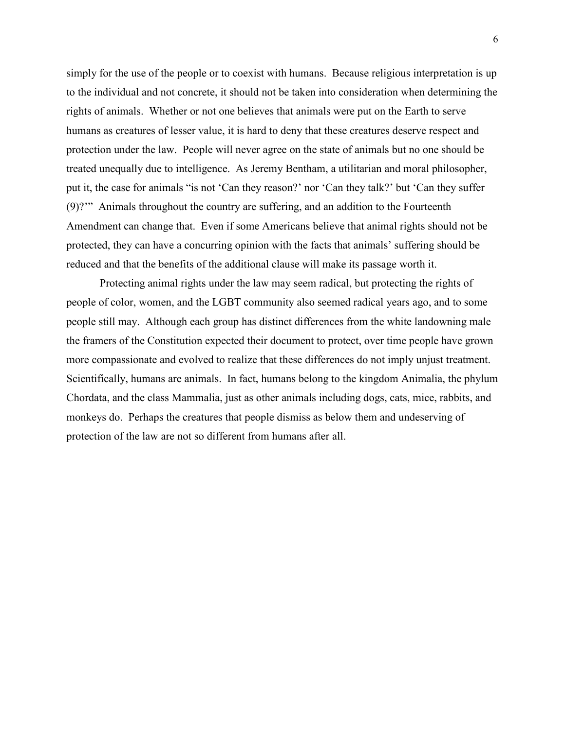simply for the use of the people or to coexist with humans. Because religious interpretation is up to the individual and not concrete, it should not be taken into consideration when determining the rights of animals. Whether or not one believes that animals were put on the Earth to serve humans as creatures of lesser value, it is hard to deny that these creatures deserve respect and protection under the law. People will never agree on the state of animals but no one should be treated unequally due to intelligence. As Jeremy Bentham, a utilitarian and moral philosopher, put it, the case for animals "is not 'Can they reason?' nor 'Can they talk?' but 'Can they suffer (9)?'" Animals throughout the country are suffering, and an addition to the Fourteenth Amendment can change that. Even if some Americans believe that animal rights should not be protected, they can have a concurring opinion with the facts that animals' suffering should be reduced and that the benefits of the additional clause will make its passage worth it.

Protecting animal rights under the law may seem radical, but protecting the rights of people of color, women, and the LGBT community also seemed radical years ago, and to some people still may. Although each group has distinct differences from the white landowning male the framers of the Constitution expected their document to protect, over time people have grown more compassionate and evolved to realize that these differences do not imply unjust treatment. Scientifically, humans are animals. In fact, humans belong to the kingdom Animalia, the phylum Chordata, and the class Mammalia, just as other animals including dogs, cats, mice, rabbits, and monkeys do. Perhaps the creatures that people dismiss as below them and undeserving of protection of the law are not so different from humans after all.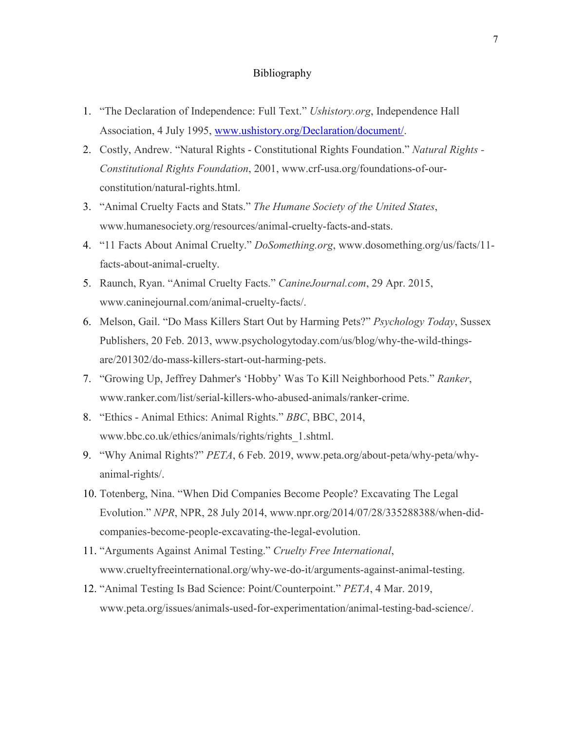## Bibliography

- 1. "The Declaration of Independence: Full Text." *Ushistory.org*, Independence Hall Association, 4 July 1995, [www.ushistory.org/Declaration/document/.](http://www.ushistory.org/Declaration/document/)
- 2. Costly, Andrew. "Natural Rights Constitutional Rights Foundation." *Natural Rights - Constitutional Rights Foundation*, 2001, www.crf-usa.org/foundations-of-ourconstitution/natural-rights.html.
- 3. "Animal Cruelty Facts and Stats." *The Humane Society of the United States*, www.humanesociety.org/resources/animal-cruelty-facts-and-stats.
- 4. "11 Facts About Animal Cruelty." *DoSomething.org*, www.dosomething.org/us/facts/11 facts-about-animal-cruelty.
- 5. Raunch, Ryan. "Animal Cruelty Facts." *CanineJournal.com*, 29 Apr. 2015, www.caninejournal.com/animal-cruelty-facts/.
- 6. Melson, Gail. "Do Mass Killers Start Out by Harming Pets?" *Psychology Today*, Sussex Publishers, 20 Feb. 2013, www.psychologytoday.com/us/blog/why-the-wild-thingsare/201302/do-mass-killers-start-out-harming-pets.
- 7. "Growing Up, Jeffrey Dahmer's 'Hobby' Was To Kill Neighborhood Pets." *Ranker*, www.ranker.com/list/serial-killers-who-abused-animals/ranker-crime.
- 8. "Ethics Animal Ethics: Animal Rights." *BBC*, BBC, 2014, www.bbc.co.uk/ethics/animals/rights/rights\_1.shtml.
- 9. "Why Animal Rights?" *PETA*, 6 Feb. 2019, www.peta.org/about-peta/why-peta/whyanimal-rights/.
- 10. Totenberg, Nina. "When Did Companies Become People? Excavating The Legal Evolution." *NPR*, NPR, 28 July 2014, www.npr.org/2014/07/28/335288388/when-didcompanies-become-people-excavating-the-legal-evolution.
- 11. "Arguments Against Animal Testing." *Cruelty Free International*, www.crueltyfreeinternational.org/why-we-do-it/arguments-against-animal-testing.
- 12. "Animal Testing Is Bad Science: Point/Counterpoint." *PETA*, 4 Mar. 2019, www.peta.org/issues/animals-used-for-experimentation/animal-testing-bad-science/.